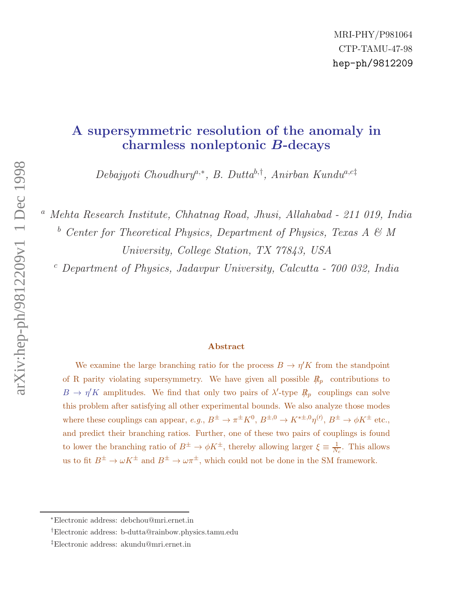# A supersymmetric resolution of the anomaly in charmless nonleptonic B-decays

 $Debajyoti Choudhury<sup>a,*</sup>, B. Dutta<sup>b,†</sup>, Anirban Kundu<sup>a,c</sup>†$ 

<sup>a</sup> Mehta Research Institute, Chhatnag Road, Jhusi, Allahabad - 211 019, India

 $b$  Center for Theoretical Physics, Department of Physics, Texas A & M University, College Station, TX 77843, USA

 $c$  Department of Physics, Jadavpur University, Calcutta -  $700$  032, India

#### Abstract

We examine the large branching ratio for the process  $B \to \eta' K$  from the standpoint of R parity violating supersymmetry. We have given all possible  $R_p$  contributions to  $B \to \eta' K$  amplitudes. We find that only two pairs of  $\lambda'$ -type  $R_p$  couplings can solve this problem after satisfying all other experimental bounds. We also analyze those modes where these couplings can appear,  $e.g., B^{\pm} \to \pi^{\pm} K^0, B^{\pm,0} \to K^{*\pm,0} \eta^{(l)}, B^{\pm} \to \phi K^{\pm}$  etc., and predict their branching ratios. Further, one of these two pairs of couplings is found to lower the branching ratio of  $B^{\pm} \to \phi K^{\pm}$ , thereby allowing larger  $\xi \equiv \frac{1}{N}$  $\frac{1}{N_c}$ . This allows us to fit  $B^{\pm} \to \omega K^{\pm}$  and  $B^{\pm} \to \omega \pi^{\pm}$ , which could not be done in the SM framework.

<sup>∗</sup>Electronic address: debchou@mri.ernet.in

<sup>†</sup>Electronic address: b-dutta@rainbow.physics.tamu.edu

<sup>‡</sup>Electronic address: akundu@mri.ernet.in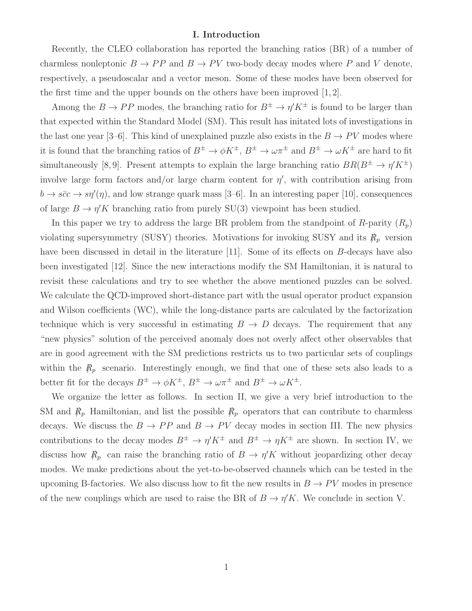#### I. Introduction

Recently, the CLEO collaboration has reported the branching ratios (BR) of a number of charmless nonleptonic  $B \to PP$  and  $B \to PV$  two-body decay modes where P and V denote, respectively, a pseudoscalar and a vector meson. Some of these modes have been observed for the first time and the upper bounds on the others have been improved [1, 2].

Among the  $B \to PP$  modes, the branching ratio for  $B^{\pm} \to \eta' K^{\pm}$  is found to be larger than that expected within the Standard Model (SM). This result has initated lots of investigations in the last one year [3–6]. This kind of unexplained puzzle also exists in the  $B \to PV$  modes where it is found that the branching ratios of  $B^{\pm} \to \phi K^{\pm}$ ,  $B^{\pm} \to \omega \pi^{\pm}$  and  $B^{\pm} \to \omega K^{\pm}$  are hard to fit simultaneously [8,9]. Present attempts to explain the large branching ratio  $BR(B^{\pm} \to \eta' K^{\pm})$ involve large form factors and/or large charm content for  $\eta'$ , with contribution arising from  $b \to s\bar{c}c \to s\eta'(\eta)$ , and low strange quark mass [3–6]. In an interesting paper [10], consequences of large  $B \to \eta' K$  branching ratio from purely SU(3) viewpoint has been studied.

In this paper we try to address the large BR problem from the standpoint of R-parity  $(R_p)$ violating supersymmetry (SUSY) theories. Motivations for invoking SUSY and its  $R_p$  version have been discussed in detail in the literature [11]. Some of its effects on B-decays have also been investigated [12]. Since the new interactions modify the SM Hamiltonian, it is natural to revisit these calculations and try to see whether the above mentioned puzzles can be solved. We calculate the QCD-improved short-distance part with the usual operator product expansion and Wilson coefficients (WC), while the long-distance parts are calculated by the factorization technique which is very successful in estimating  $B \to D$  decays. The requirement that any "new physics" solution of the perceived anomaly does not overly affect other observables that are in good agreement with the SM predictions restricts us to two particular sets of couplings within the  $R_p$  scenario. Interestingly enough, we find that one of these sets also leads to a better fit for the decays  $B^{\pm} \to \phi K^{\pm}$ ,  $B^{\pm} \to \omega \pi^{\pm}$  and  $B^{\pm} \to \omega K^{\pm}$ .

We organize the letter as follows. In section II, we give a very brief introduction to the SM and  $\mathcal{R}_p$  Hamiltonian, and list the possible  $\mathcal{R}_p$  operators that can contribute to charmless decays. We discuss the  $B \to PP$  and  $B \to PV$  decay modes in section III. The new physics contributions to the decay modes  $B^{\pm} \to \eta' K^{\pm}$  and  $B^{\pm} \to \eta K^{\pm}$  are shown. In section IV, we discuss how  $R_p$  can raise the branching ratio of  $B \to \eta' K$  without jeopardizing other decay modes. We make predictions about the yet-to-be-observed channels which can be tested in the upcoming B-factories. We also discuss how to fit the new results in  $B \to PV$  modes in presence of the new couplings which are used to raise the BR of  $B \to \eta' K$ . We conclude in section V.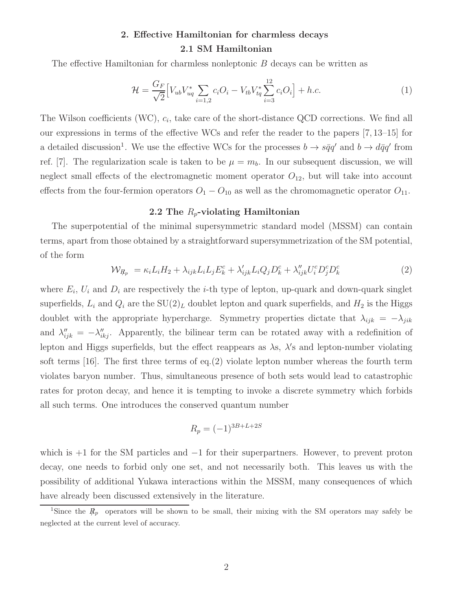## 2. Effective Hamiltonian for charmless decays 2.1 SM Hamiltonian

The effective Hamiltonian for charmless nonleptonic B decays can be written as

$$
\mathcal{H} = \frac{G_F}{\sqrt{2}} \Big[ V_{ub} V_{uq}^* \sum_{i=1,2} c_i O_i - V_{tb} V_{tq}^* \sum_{i=3}^{12} c_i O_i \Big] + h.c.
$$
 (1)

The Wilson coefficients (WC),  $c_i$ , take care of the short-distance QCD corrections. We find all our expressions in terms of the effective WCs and refer the reader to the papers [7, 13–15] for a detailed discussion<sup>1</sup>. We use the effective WCs for the processes  $b \to s\bar{q}q'$  and  $b \to d\bar{q}q'$  from ref. [7]. The regularization scale is taken to be  $\mu = m_b$ . In our subsequent discussion, we will neglect small effects of the electromagnetic moment operator  $O_{12}$ , but will take into account effects from the four-fermion operators  $O_1 - O_{10}$  as well as the chromomagnetic operator  $O_{11}$ .

#### 2.2 The  $R_p$ -violating Hamiltonian

The superpotential of the minimal supersymmetric standard model (MSSM) can contain terms, apart from those obtained by a straightforward supersymmetrization of the SM potential, of the form

$$
\mathcal{W}_{R_p} = \kappa_i L_i H_2 + \lambda_{ijk} L_i L_j E_k^c + \lambda'_{ijk} L_i Q_j D_k^c + \lambda''_{ijk} U_i^c D_j^c D_k^c \tag{2}
$$

where  $E_i$ ,  $U_i$  and  $D_i$  are respectively the *i*-th type of lepton, up-quark and down-quark singlet superfields,  $L_i$  and  $Q_i$  are the  $SU(2)_L$  doublet lepton and quark superfields, and  $H_2$  is the Higgs doublet with the appropriate hypercharge. Symmetry properties dictate that  $\lambda_{ijk} = -\lambda_{jik}$ and  $\lambda''_{ijk} = -\lambda''_{ikj}$ . Apparently, the bilinear term can be rotated away with a redefinition of lepton and Higgs superfields, but the effect reappears as  $\lambda$ s,  $\lambda$ 's and lepton-number violating soft terms  $[16]$ . The first three terms of eq.(2) violate lepton number whereas the fourth term violates baryon number. Thus, simultaneous presence of both sets would lead to catastrophic rates for proton decay, and hence it is tempting to invoke a discrete symmetry which forbids all such terms. One introduces the conserved quantum number

$$
R_p = (-1)^{3B+L+2S}
$$

which is  $+1$  for the SM particles and  $-1$  for their superpartners. However, to prevent proton decay, one needs to forbid only one set, and not necessarily both. This leaves us with the possibility of additional Yukawa interactions within the MSSM, many consequences of which have already been discussed extensively in the literature.

<sup>&</sup>lt;sup>1</sup>Since the  $R_p$  operators will be shown to be small, their mixing with the SM operators may safely be neglected at the current level of accuracy.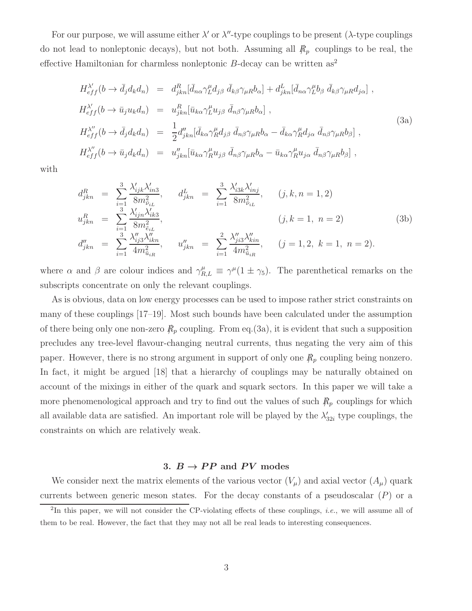For our purpose, we will assume either  $\lambda'$  or  $\lambda''$ -type couplings to be present ( $\lambda$ -type couplings do not lead to nonleptonic decays), but not both. Assuming all  $R_p$  couplings to be real, the effective Hamiltonian for charmless nonleptonic  $B$ -decay can be written as<sup>2</sup>

$$
H_{eff}^{\lambda'}(b \to \bar{d}_j d_k d_n) = d_{jkn}^R [\bar{d}_{n\alpha} \gamma_L^\mu d_{j\beta} \ \bar{d}_{k\beta} \gamma_{\mu R} b_\alpha] + d_{jkn}^L [\bar{d}_{n\alpha} \gamma_L^\mu b_\beta \ \bar{d}_{k\beta} \gamma_{\mu R} d_{j\alpha}] ,
$$
  
\n
$$
H_{eff}^{\lambda'}(b \to \bar{u}_j u_k d_n) = u_{jkn}^R [\bar{u}_{k\alpha} \gamma_L^\mu u_{j\beta} \ \bar{d}_{n\beta} \gamma_{\mu R} b_\alpha] ,
$$
  
\n
$$
H_{eff}^{\lambda''}(b \to \bar{d}_j d_k d_n) = \frac{1}{2} d_{jkn}'' [\bar{d}_{k\alpha} \gamma_R^\mu d_{j\beta} \ \bar{d}_{n\beta} \gamma_{\mu R} b_\alpha - \bar{d}_{k\alpha} \gamma_R^\mu d_{j\alpha} \ \bar{d}_{n\beta} \gamma_{\mu R} b_\beta] ,
$$
  
\n
$$
H_{eff}^{\lambda''}(b \to \bar{u}_j d_k d_n) = u_{jkn}'' [\bar{u}_{k\alpha} \gamma_R^\mu u_{j\beta} \ \bar{d}_{n\beta} \gamma_{\mu R} b_\alpha - \bar{u}_{k\alpha} \gamma_R^\mu u_{j\alpha} \ \bar{d}_{n\beta} \gamma_{\mu R} b_\beta] ,
$$
  
\n(3a)

with

$$
d_{jkn}^R = \sum_{i=1}^3 \frac{\lambda'_{ijk} \lambda'_{in3}}{8m_{\tilde{\nu}_{iL}}^2}, \quad d_{jkn}^L = \sum_{i=1}^3 \frac{\lambda'_{i3k} \lambda'_{inj}}{8m_{\tilde{\nu}_{iL}}^2}, \quad (j, k, n = 1, 2)
$$
  
\n
$$
u_{jkn}^R = \sum_{i=1}^3 \frac{\lambda'_{ijn} \lambda'_{ik3}}{8m_{\tilde{\epsilon}_{iL}}^2}, \quad (j, k = 1, n = 2)
$$
  
\n
$$
d''_{jkn} = \sum_{i=1}^3 \frac{\lambda''_{ij3} \lambda''_{ikn}}{4m_{\tilde{u}_{iR}}^2}, \quad u''_{jkn} = \sum_{i=1}^2 \frac{\lambda''_{ji3} \lambda''_{kin}}{4m_{\tilde{u}_{iR}}^2}, \quad (j = 1, 2, k = 1, n = 2).
$$
\n(3b)

where  $\alpha$  and  $\beta$  are colour indices and  $\gamma_{R,L}^{\mu} \equiv \gamma^{\mu} (1 \pm \gamma_5)$ . The parenthetical remarks on the subscripts concentrate on only the relevant couplings.

As is obvious, data on low energy processes can be used to impose rather strict constraints on many of these couplings [17–19]. Most such bounds have been calculated under the assumption of there being only one non-zero  $R_p$  coupling. From eq.(3a), it is evident that such a supposition precludes any tree-level flavour-changing neutral currents, thus negating the very aim of this paper. However, there is no strong argument in support of only one  $R_p$  coupling being nonzero. In fact, it might be argued [18] that a hierarchy of couplings may be naturally obtained on account of the mixings in either of the quark and squark sectors. In this paper we will take a more phenomenological approach and try to find out the values of such  $R_p$  couplings for which all available data are satisfied. An important role will be played by the  $\lambda'$  $t'_{32i}$  type couplings, the constraints on which are relatively weak.

#### 3.  $B \to PP$  and PV modes

We consider next the matrix elements of the various vector  $(V_\mu)$  and axial vector  $(A_\mu)$  quark currents between generic meson states. For the decay constants of a pseudoscalar  $(P)$  or a

<sup>&</sup>lt;sup>2</sup>In this paper, we will not consider the CP-violating effects of these couplings, *i.e.*, we will assume all of them to be real. However, the fact that they may not all be real leads to interesting consequences.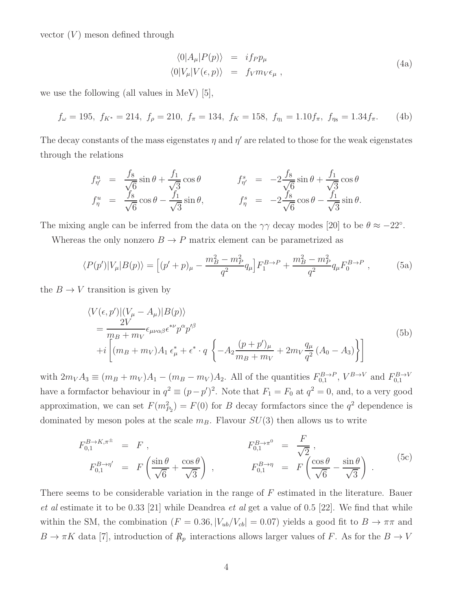vector  $(V)$  meson defined through

$$
\langle 0|A_{\mu}|P(p)\rangle = if_{P}p_{\mu}
$$
  

$$
\langle 0|V_{\mu}|V(\epsilon, p)\rangle = f_{V}m_{V}\epsilon_{\mu},
$$
\n(4a)

we use the following (all values in MeV) [5],

$$
f_{\omega} = 195, \ f_{K^*} = 214, \ f_{\rho} = 210, \ f_{\pi} = 134, \ f_K = 158, \ f_{\eta_1} = 1.10 f_{\pi}, \ f_{\eta_8} = 1.34 f_{\pi}.
$$
 (4b)

The decay constants of the mass eigenstates  $\eta$  and  $\eta'$  are related to those for the weak eigenstates through the relations

$$
f_{\eta'}^u = \frac{f_8}{\sqrt{6}} \sin \theta + \frac{f_1}{\sqrt{3}} \cos \theta \qquad f_{\eta'}^s = -2 \frac{f_8}{\sqrt{6}} \sin \theta + \frac{f_1}{\sqrt{3}} \cos \theta f_{\eta}^u = \frac{f_8}{\sqrt{6}} \cos \theta - \frac{f_1}{\sqrt{3}} \sin \theta, \qquad f_{\eta}^s = -2 \frac{f_8}{\sqrt{6}} \cos \theta - \frac{f_1}{\sqrt{3}} \sin \theta.
$$

The mixing angle can be inferred from the data on the  $\gamma\gamma$  decay modes [20] to be  $\theta \approx -22^{\circ}$ .

Whereas the only nonzero  $B \to P$  matrix element can be parametrized as

$$
\langle P(p')|V_{\mu}|B(p)\rangle = \left[ (p' + p)_{\mu} - \frac{m_B^2 - m_P^2}{q^2} q_{\mu} \right] F_1^{B \to P} + \frac{m_B^2 - m_P^2}{q^2} q_{\mu} F_0^{B \to P} ,\qquad (5a)
$$

the  $B \to V$  transition is given by

$$
\langle V(\epsilon, p')|(V_{\mu} - A_{\mu})|B(p)\rangle
$$
  
= 
$$
\frac{2V}{m_B + m_V} \epsilon_{\mu\nu\alpha\beta} \epsilon^{*\nu} p^{\alpha} p'^{\beta}
$$
  
+
$$
i \left[ (m_B + m_V)A_1 \epsilon_{\mu}^* + \epsilon^* \cdot q \left\{ -A_2 \frac{(p+p')_{\mu}}{m_B + m_V} + 2m_V \frac{q_{\mu}}{q^2} (A_0 - A_3) \right\} \right]
$$
(5b)

with  $2m_V A_3 \equiv (m_B + m_V)A_1 - (m_B - m_V)A_2$ . All of the quantities  $F_{0,1}^{B \to P}$ ,  $V^{B \to V}$  and  $F_{0,1}^{B \to V}$ have a formfactor behaviour in  $q^2 \equiv (p - p')^2$ . Note that  $F_1 = F_0$  at  $q^2 = 0$ , and, to a very good approximation, we can set  $F(m_{P_2}^2) = F(0)$  for B decay formfactors since the  $q^2$  dependence is dominated by meson poles at the scale  $m_B$ . Flavour  $SU(3)$  then allows us to write

$$
F_{0,1}^{B \to K, \pi^{\pm}} = F , \qquad F_{0,1}^{B \to \pi^0} = \frac{F}{\sqrt{2}} ,
$$
  
\n
$$
F_{0,1}^{B \to \eta'} = F \left( \frac{\sin \theta}{\sqrt{6}} + \frac{\cos \theta}{\sqrt{3}} \right) , \qquad F_{0,1}^{B \to \eta} = F \left( \frac{\cos \theta}{\sqrt{6}} - \frac{\sin \theta}{\sqrt{3}} \right) .
$$
 (5c)

There seems to be considerable variation in the range of F estimated in the literature. Bauer et al estimate it to be 0.33 [21] while Deandrea et al get a value of 0.5 [22]. We find that while within the SM, the combination ( $F = 0.36$ ,  $|V_{ub}/V_{cb}| = 0.07$ ) yields a good fit to  $B \to \pi\pi$  and  $B \to \pi K$  data [7], introduction of  $R_p$  interactions allows larger values of F. As for the  $B \to V$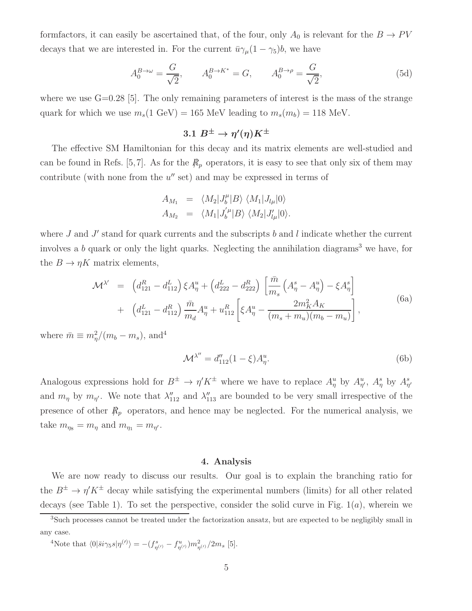formfactors, it can easily be ascertained that, of the four, only  $A_0$  is relevant for the  $B \to PV$ decays that we are interested in. For the current  $\bar{u}\gamma_\mu(1-\gamma_5)b$ , we have

$$
A_0^{B \to \omega} = \frac{G}{\sqrt{2}}, \qquad A_0^{B \to K^*} = G, \qquad A_0^{B \to \rho} = \frac{G}{\sqrt{2}}, \tag{5d}
$$

where we use  $G=0.28$  [5]. The only remaining parameters of interest is the mass of the strange quark for which we use  $m_s(1 \text{ GeV}) = 165 \text{ MeV}$  leading to  $m_s(m_b) = 118 \text{ MeV}$ .

## $3.1 \; B^{\pm} \rightarrow \eta'(\eta) K^{\pm}$

The effective SM Hamiltonian for this decay and its matrix elements are well-studied and can be found in Refs. [5,7]. As for the  $R_p$  operators, it is easy to see that only six of them may contribute (with none from the  $u''$  set) and may be expressed in terms of

$$
A_{M_1} = \langle M_2 | J_b^{\mu} | B \rangle \langle M_1 | J_{l\mu} | 0 \rangle
$$
  
\n
$$
A_{M_2} = \langle M_1 | J_b^{'\mu} | B \rangle \langle M_2 | J_{l\mu}^{'}| 0 \rangle.
$$

where  $J$  and  $J'$  stand for quark currents and the subscripts  $b$  and  $l$  indicate whether the current involves a  $b$  quark or only the light quarks. Neglecting the annihilation diagrams<sup>3</sup> we have, for the  $B \to \eta K$  matrix elements,

$$
\mathcal{M}^{\lambda'} = \left( d_{121}^R - d_{112}^L \right) \xi A_{\eta}^u + \left( d_{222}^L - d_{222}^R \right) \left[ \frac{\bar{m}}{m_s} \left( A_{\eta}^s - A_{\eta}^u \right) - \xi A_{\eta}^s \right] + \left( d_{121}^L - d_{112}^R \right) \frac{\bar{m}}{m_d} A_{\eta}^u + u_{112}^R \left[ \xi A_{\eta}^u - \frac{2m_K^2 A_K}{(m_s + m_u)(m_b - m_u)} \right],
$$
(6a)

where  $\bar{m} \equiv m_{\eta}^2/(m_b - m_s)$ , and<sup>4</sup>

$$
\mathcal{M}^{\lambda''} = d''_{112}(1 - \xi)A^u_\eta.
$$
 (6b)

Analogous expressions hold for  $B^{\pm} \to \eta' K^{\pm}$  where we have to replace  $A^u_{\eta}$  by  $A^u_{\eta'}$ ,  $A^s_{\eta}$  by  $A^s_{\eta'}$ and  $m_{\eta}$  by  $m_{\eta'}$ . We note that  $\lambda''_{112}$  and  $\lambda''_{113}$  are bounded to be very small irrespective of the presence of other  $R_p$  operators, and hence may be neglected. For the numerical analysis, we take  $m_{\eta_8} = m_\eta$  and  $m_{\eta_1} = m_{\eta'}$ .

#### 4. Analysis

We are now ready to discuss our results. Our goal is to explain the branching ratio for the  $B^{\pm} \to \eta' K^{\pm}$  decay while satisfying the experimental numbers (limits) for all other related decays (see Table 1). To set the perspective, consider the solid curve in Fig.  $1(a)$ , wherein we

<sup>4</sup>Note that  $\langle 0|\bar{s}i\gamma_5 s|\eta^{(\prime)}\rangle = -(f_{\eta^{(\prime)}}^s - f_{\eta^{(\prime)}}^u)m_{\eta^{(\prime)}}^2/2m_s$  [5].

<sup>3</sup>Such processes cannot be treated under the factorization ansatz, but are expected to be negligibly small in any case.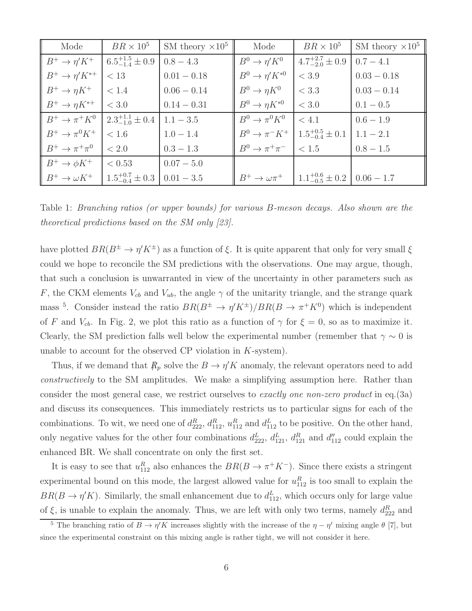| Mode                 | $BR \times 10^5$                                | SM theory $\times 10^5$ | Mode                                                      | $BR \times 10^5$                                                            | SM theory $\times 10^5$ |
|----------------------|-------------------------------------------------|-------------------------|-----------------------------------------------------------|-----------------------------------------------------------------------------|-------------------------|
|                      | $B^+ \to \eta' K^+$ $6.5^{+1.5}_{-1.4} \pm 0.9$ | $0.8 - 4.3$             | $B^0 \to \eta' K^0$                                       | $4.7^{+2.7}_{-2.0}\pm 0.9$                                                  | $0.7 - 4.1$             |
| $B^+\to\eta' K^{*+}$ | < 13                                            | $0.01 - 0.18$           | $B^0 \to \eta' K^{*0}$                                    | $<$ 3.9                                                                     | $0.03 - 0.18$           |
| $B^+\to\eta K^+$     | $\vert$ < 1.4                                   | $0.06 - 0.14$           | $B^0 \to \eta K^0$                                        | $<$ 3.3                                                                     | $0.03 - 0.14$           |
| $B^+\to\eta K^{*+}$  | $ $ < 3.0                                       | $0.14 - 0.31$           | $B^0 \to \eta K^{*0}$                                     | $<$ 3.0                                                                     | $0.1 - 0.5$             |
| $B^+\to\pi^+K^0$     | $2.3_{-1.0}^{+1.1} \pm 0.4$                     | $1.1 - 3.5$             | $B^0 \to \pi^0 K^0$                                       | $\leq 4.1$                                                                  | $0.6 - 1.9$             |
| $B^+ \to \pi^0 K^+$  | < 1.6                                           | $1.0 - 1.4$             | $B^0 \rightarrow \pi^- K^+$   $1.5^{+0.5}_{-0.4} \pm 0.1$ |                                                                             | $1.1 - 2.1$             |
| $B^+\to\pi^+\pi^0$   | $\leq 2.0$                                      | $0.3 - 1.3$             | $B^0 \to \pi^+\pi^-$                                      | < 1.5                                                                       | $0.8 - 1.5$             |
| $B^+\to \phi K^+$    | < 0.53                                          | $0.07 - 5.0$            |                                                           |                                                                             |                         |
| $B^+\to \omega K^+$  | $1.5^{+0.7}_{-0.4}\pm 0.3$                      | $0.01 - 3.5$            |                                                           | $B^+ \rightarrow \omega \pi^+$   $1.1^{+0.6}_{-0.5} \pm 0.2$   $0.06 - 1.7$ |                         |

Table 1: Branching ratios (or upper bounds) for various B-meson decays. Also shown are the theoretical predictions based on the SM only [23].

have plotted  $BR(B^{\pm} \to \eta' K^{\pm})$  as a function of  $\xi$ . It is quite apparent that only for very small  $\xi$ could we hope to reconcile the SM predictions with the observations. One may argue, though, that such a conclusion is unwarranted in view of the uncertainty in other parameters such as F, the CKM elements  $V_{cb}$  and  $V_{ub}$ , the angle  $\gamma$  of the unitarity triangle, and the strange quark mass <sup>5</sup>. Consider instead the ratio  $BR(B^{\pm} \to \eta' K^{\pm})/BR(B \to \pi^+ K^0)$  which is independent of F and  $V_{cb}$ . In Fig. 2, we plot this ratio as a function of  $\gamma$  for  $\xi = 0$ , so as to maximize it. Clearly, the SM prediction falls well below the experimental number (remember that  $\gamma \sim 0$  is unable to account for the observed  $\mathbb{CP}$  violation in  $K$ -system).

Thus, if we demand that  $R_p$  solve the  $B \to \eta' K$  anomaly, the relevant operators need to add constructively to the SM amplitudes. We make a simplifying assumption here. Rather than consider the most general case, we restrict ourselves to *exactly one non-zero product* in eq. (3a) and discuss its consequences. This immediately restricts us to particular signs for each of the combinations. To wit, we need one of  $d_{222}^R$ ,  $d_{112}^R$ ,  $u_{112}^R$  and  $d_{112}^L$  to be positive. On the other hand, only negative values for the other four combinations  $d_{222}^L$ ,  $d_{121}^L$ ,  $d_{121}^R$  and  $d_{112}''$  could explain the enhanced BR. We shall concentrate on only the first set.

It is easy to see that  $u_{112}^R$  also enhances the  $BR(B \to \pi^+ K^-)$ . Since there exists a stringent experimental bound on this mode, the largest allowed value for  $u_{112}^R$  is too small to explain the  $BR(B \to \eta' K)$ . Similarly, the small enhancement due to  $d_{112}^L$ , which occurs only for large value of  $\xi$ , is unable to explain the anomaly. Thus, we are left with only two terms, namely  $d_{222}^R$  and

<sup>&</sup>lt;sup>5</sup> The branching ratio of  $B \to \eta' K$  increases slightly with the increase of the  $\eta - \eta'$  mixing angle  $\theta$  [7], but since the experimental constraint on this mixing angle is rather tight, we will not consider it here.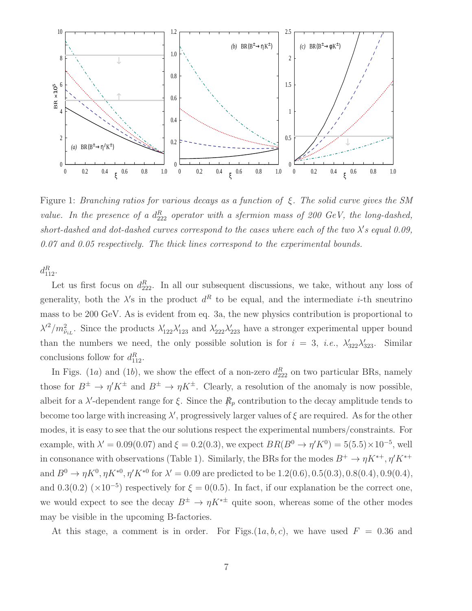

Figure 1: Branching ratios for various decays as a function of  $\xi$ . The solid curve gives the SM value. In the presence of a  $d_{222}^R$  operator with a sfermion mass of 200 GeV, the long-dashed, short-dashed and dot-dashed curves correspond to the cases where each of the two  $\lambda$ 's equal 0.09, 0.07 and 0.05 respectively. The thick lines correspond to the experimental bounds.

 $d_{112}^R$ .

Let us first focus on  $d_{222}^R$ . In all our subsequent discussions, we take, without any loss of generality, both the  $\lambda$ 's in the product  $d^R$  to be equal, and the intermediate *i*-th sneutrino mass to be 200 GeV. As is evident from eq. 3a, the new physics contribution is proportional to  $\lambda'^2/m_{\tilde{\nu}_{iL}}^2$ . Since the products  $\lambda'_{122}\lambda'_{123}$  and  $\lambda'_{222}\lambda'_{223}$  have a stronger experimental upper bound than the numbers we need, the only possible solution is for  $i = 3$ , *i.e.*,  $\lambda'_{322}\lambda'_{5}$ Similar conclusions follow for  $d_{112}^R$ .

In Figs. (1*a*) and (1*b*), we show the effect of a non-zero  $d_{222}^R$  on two particular BRs, namely those for  $B^{\pm} \to \eta' K^{\pm}$  and  $B^{\pm} \to \eta K^{\pm}$ . Clearly, a resolution of the anomaly is now possible, albeit for a  $\lambda'$ -dependent range for  $\xi$ . Since the  $R_p$  contribution to the decay amplitude tends to become too large with increasing  $\lambda'$ , progressively larger values of  $\xi$  are required. As for the other modes, it is easy to see that the our solutions respect the experimental numbers/constraints. For example, with  $\lambda' = 0.09(0.07)$  and  $\xi = 0.2(0.3)$ , we expect  $BR(B^0 \to \eta' K^0) = 5(5.5) \times 10^{-5}$ , well in consonance with observations (Table 1). Similarly, the BRs for the modes  $B^+ \to \eta K^{*+}, \eta' K^{*+}$ and  $B^0 \to \eta K^0, \eta K^{*0}, \eta' K^{*0}$  for  $\lambda' = 0.09$  are predicted to be 1.2(0.6), 0.5(0.3), 0.8(0.4), 0.9(0.4), and 0.3(0.2) ( $\times 10^{-5}$ ) respectively for  $\xi = 0(0.5)$ . In fact, if our explanation be the correct one, we would expect to see the decay  $B^{\pm} \to \eta K^{*\pm}$  quite soon, whereas some of the other modes may be visible in the upcoming B-factories.

At this stage, a comment is in order. For Figs. $(1a, b, c)$ , we have used  $F = 0.36$  and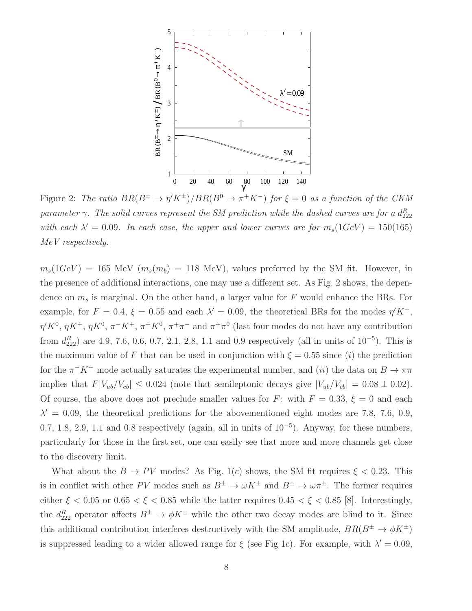

Figure 2: The ratio  $BR(B^{\pm} \to \eta' K^{\pm})/BR(B^0 \to \pi^+ K^-)$  for  $\xi = 0$  as a function of the CKM parameter  $\gamma$ . The solid curves represent the SM prediction while the dashed curves are for a  $d_{222}^R$ with each  $\lambda' = 0.09$ . In each case, the upper and lower curves are for  $m_s(1 GeV) = 150(165)$ MeV respectively.

 $m_s(1GeV) = 165$  MeV  $(m_s(m_b) = 118$  MeV), values preferred by the SM fit. However, in the presence of additional interactions, one may use a different set. As Fig. 2 shows, the dependence on  $m_s$  is marginal. On the other hand, a larger value for F would enhance the BRs. For example, for  $F = 0.4$ ,  $\xi = 0.55$  and each  $\lambda' = 0.09$ , the theoretical BRs for the modes  $\eta' K^+$ ,  $\eta' K^0$ ,  $\eta K^+$ ,  $\eta K^0$ ,  $\pi^- K^+$ ,  $\pi^+ K^0$ ,  $\pi^+ \pi^-$  and  $\pi^+ \pi^0$  (last four modes do not have any contribution from  $d_{222}^R$  are 4.9, 7.6, 0.6, 0.7, 2.1, 2.8, 1.1 and 0.9 respectively (all in units of  $10^{-5}$ ). This is the maximum value of F that can be used in conjunction with  $\xi = 0.55$  since (i) the prediction for the  $\pi^- K^+$  mode actually saturates the experimental number, and (ii) the data on  $B \to \pi\pi$ implies that  $F|V_{ub}/V_{cb}| \leq 0.024$  (note that semileptonic decays give  $|V_{ub}/V_{cb}| = 0.08 \pm 0.02$ ). Of course, the above does not preclude smaller values for F: with  $F = 0.33$ ,  $\xi = 0$  and each  $\lambda' = 0.09$ , the theoretical predictions for the abovementioned eight modes are 7.8, 7.6, 0.9, 0.7, 1.8, 2.9, 1.1 and 0.8 respectively (again, all in units of  $10^{-5}$ ). Anyway, for these numbers, particularly for those in the first set, one can easily see that more and more channels get close to the discovery limit.

What about the  $B \to PV$  modes? As Fig. 1(c) shows, the SM fit requires  $\xi < 0.23$ . This is in conflict with other PV modes such as  $B^{\pm} \to \omega K^{\pm}$  and  $B^{\pm} \to \omega \pi^{\pm}$ . The former requires either  $\xi < 0.05$  or  $0.65 < \xi < 0.85$  while the latter requires  $0.45 < \xi < 0.85$  [8]. Interestingly, the  $d_{222}^R$  operator affects  $B^{\pm} \to \phi K^{\pm}$  while the other two decay modes are blind to it. Since this additional contribution interferes destructively with the SM amplitude,  $BR(B^{\pm} \rightarrow \phi K^{\pm})$ is suppressed leading to a wider allowed range for  $\xi$  (see Fig 1c). For example, with  $\lambda' = 0.09$ ,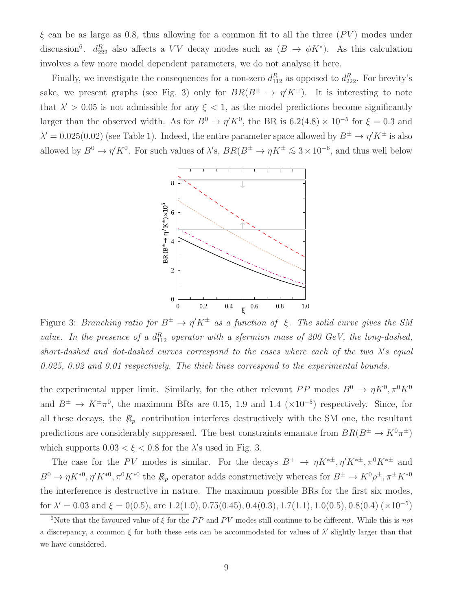$\xi$  can be as large as 0.8, thus allowing for a common fit to all the three  $(PV)$  modes under discussion<sup>6</sup>.  $d_{222}^R$  also affects a VV decay modes such as  $(B \to \phi K^*)$ . As this calculation involves a few more model dependent parameters, we do not analyse it here.

Finally, we investigate the consequences for a non-zero  $d_{112}^R$  as opposed to  $d_{222}^R$ . For brevity's sake, we present graphs (see Fig. 3) only for  $BR(B^{\pm} \rightarrow \eta' K^{\pm})$ . It is interesting to note that  $\lambda' > 0.05$  is not admissible for any  $\xi < 1$ , as the model predictions become significantly larger than the observed width. As for  $B^0 \to \eta' K^0$ , the BR is  $6.2(4.8) \times 10^{-5}$  for  $\xi = 0.3$  and  $\lambda' = 0.025(0.02)$  (see Table 1). Indeed, the entire parameter space allowed by  $B^{\pm} \to \eta' K^{\pm}$  is also allowed by  $B^0 \to \eta' K^0$ . For such values of  $\lambda'$ s,  $BR(B^{\pm} \to \eta K^{\pm} \lesssim 3 \times 10^{-6}$ , and thus well below



Figure 3: Branching ratio for  $B^{\pm} \to \eta' K^{\pm}$  as a function of  $\xi$ . The solid curve gives the SM value. In the presence of a  $d_{112}^R$  operator with a sfermion mass of 200 GeV, the long-dashed, short-dashed and dot-dashed curves correspond to the cases where each of the two  $\lambda$ 's equal 0.025, 0.02 and 0.01 respectively. The thick lines correspond to the experimental bounds.

the experimental upper limit. Similarly, for the other relevant  $PP$  modes  $B^0 \to \eta K^0, \pi^0 K^0$ and  $B^{\pm} \to K^{\pm} \pi^0$ , the maximum BRs are 0.15, 1.9 and 1.4 (×10<sup>-5</sup>) respectively. Since, for all these decays, the  $R_p$  contribution interferes destructively with the SM one, the resultant predictions are considerably suppressed. The best constraints emanate from  $BR(B^{\pm} \to K^0 \pi^{\pm})$ which supports  $0.03 < \xi < 0.8$  for the  $\lambda$ 's used in Fig. 3.

The case for the PV modes is similar. For the decays  $B^+ \to \eta K^{*\pm}, \eta' K^{*\pm}, \pi^0 K^{*\pm}$  and  $B^0 \to \eta K^{*0}, \eta' K^{*0}, \pi^0 K^{*0}$  the  $R_p$  operator adds constructively whereas for  $B^{\pm} \to K^0 \rho^{\pm}, \pi^{\pm} K^{*0}$ the interference is destructive in nature. The maximum possible BRs for the first six modes, for  $\lambda' = 0.03$  and  $\xi = 0(0.5)$ , are 1.2(1.0), 0.75(0.45), 0.4(0.3), 1.7(1.1), 1.0(0.5), 0.8(0.4) (×10<sup>-5</sup>)

<sup>&</sup>lt;sup>6</sup>Note that the favoured value of  $\xi$  for the PP and PV modes still continue to be different. While this is not a discrepancy, a common  $\xi$  for both these sets can be accommodated for values of  $\lambda'$  slightly larger than that we have considered.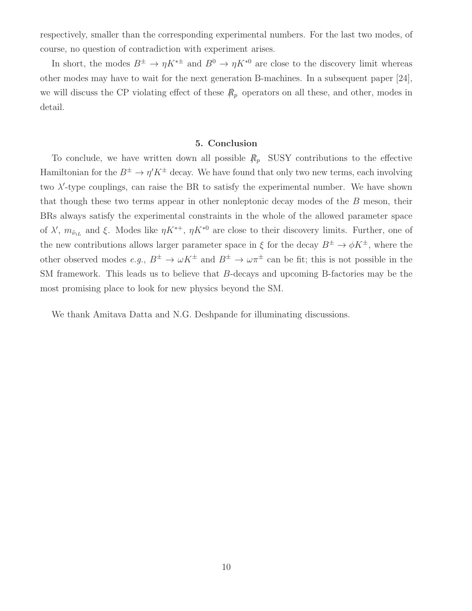respectively, smaller than the corresponding experimental numbers. For the last two modes, of course, no question of contradiction with experiment arises.

In short, the modes  $B^{\pm} \to \eta K^{*\pm}$  and  $B^0 \to \eta K^{*0}$  are close to the discovery limit whereas other modes may have to wait for the next generation B-machines. In a subsequent paper [24], we will discuss the CP violating effect of these  $R_p$  operators on all these, and other, modes in detail.

#### 5. Conclusion

To conclude, we have written down all possible  $\mathcal{R}_p$  SUSY contributions to the effective Hamiltonian for the  $B^{\pm} \to \eta' K^{\pm}$  decay. We have found that only two new terms, each involving two  $\lambda'$ -type couplings, can raise the BR to satisfy the experimental number. We have shown that though these two terms appear in other nonleptonic decay modes of the B meson, their BRs always satisfy the experimental constraints in the whole of the allowed parameter space of  $\lambda'$ ,  $m_{\tilde{\nu}_{iL}}$  and  $\xi$ . Modes like  $\eta K^{*+}$ ,  $\eta K^{*0}$  are close to their discovery limits. Further, one of the new contributions allows larger parameter space in  $\xi$  for the decay  $B^{\pm} \to \phi K^{\pm}$ , where the other observed modes  $e.g., B^{\pm} \to \omega K^{\pm}$  and  $B^{\pm} \to \omega \pi^{\pm}$  can be fit; this is not possible in the SM framework. This leads us to believe that B-decays and upcoming B-factories may be the most promising place to look for new physics beyond the SM.

We thank Amitava Datta and N.G. Deshpande for illuminating discussions.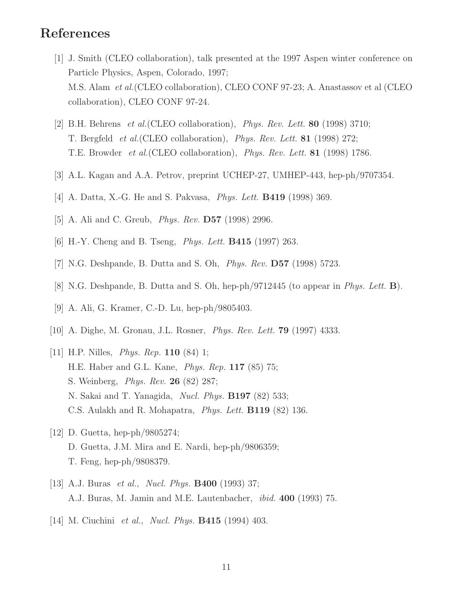## References

- [1] J. Smith (CLEO collaboration), talk presented at the 1997 Aspen winter conference on Particle Physics, Aspen, Colorado, 1997; M.S. Alam et al.(CLEO collaboration), CLEO CONF 97-23; A. Anastassov et al (CLEO collaboration), CLEO CONF 97-24.
- [2] B.H. Behrens et al.(CLEO collaboration), Phys. Rev. Lett. 80 (1998) 3710; T. Bergfeld et al.(CLEO collaboration), Phys. Rev. Lett. 81 (1998) 272; T.E. Browder et al.(CLEO collaboration), Phys. Rev. Lett. 81 (1998) 1786.
- [3] A.L. Kagan and A.A. Petrov, preprint UCHEP-27, UMHEP-443, hep-ph/9707354.
- [4] A. Datta, X.-G. He and S. Pakvasa, *Phys. Lett.* **B419** (1998) 369.
- [5] A. Ali and C. Greub, Phys. Rev. D57 (1998) 2996.
- [6] H.-Y. Cheng and B. Tseng, Phys. Lett. B415 (1997) 263.
- [7] N.G. Deshpande, B. Dutta and S. Oh, Phys. Rev. D57 (1998) 5723.
- [8] N.G. Deshpande, B. Dutta and S. Oh, hep-ph/9712445 (to appear in Phys. Lett. B).
- [9] A. Ali, G. Kramer, C.-D. Lu, hep-ph/9805403.
- [10] A. Dighe, M. Gronau, J.L. Rosner, Phys. Rev. Lett. 79 (1997) 4333.
- [11] H.P. Nilles, *Phys. Rep.* **110** (84) 1; H.E. Haber and G.L. Kane, Phys. Rep. 117 (85) 75; S. Weinberg, Phys. Rev. 26 (82) 287; N. Sakai and T. Yanagida, Nucl. Phys. B197 (82) 533; C.S. Aulakh and R. Mohapatra, Phys. Lett. B119 (82) 136.
- [12] D. Guetta, hep-ph/9805274; D. Guetta, J.M. Mira and E. Nardi, hep-ph/9806359; T. Feng, hep-ph/9808379.
- [13] A.J. Buras *et al., Nucl. Phys.* **B400** (1993) 37; A.J. Buras, M. Jamin and M.E. Lautenbacher, ibid. 400 (1993) 75.
- [14] M. Ciuchini et al., Nucl. Phys. B415 (1994) 403.